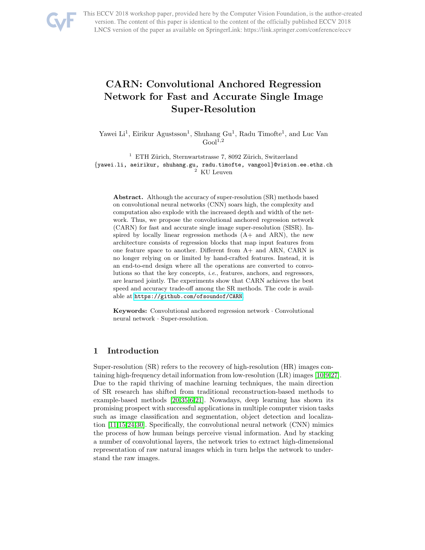

This ECCV 2018 workshop paper, provided here by the Computer Vision Foundation, is the author-created version. The content of this paper is identical to the content of the officially published ECCV 2018 LNCS version of the paper as available on SpringerLink: https://link.springer.com/conference/eccv

# CARN: Convolutional Anchored Regression Network for Fast and Accurate Single Image Super-Resolution

Yawei Li<sup>1</sup>, Eirikur Agustsson<sup>1</sup>, Shuhang Gu<sup>1</sup>, Radu Timofte<sup>1</sup>, and Luc Van  $Gool<sup>1,2</sup>$ 

 $^{\rm 1}$  ETH Zürich, Sternwartstrasse 7, 8092 Zürich, Switzerland {yawei.li, aeirikur, shuhang.gu, radu.timofte, vangool}@vision.ee.ethz.ch  $^{\rm 2}$  KU Leuven

Abstract. Although the accuracy of super-resolution (SR) methods based on convolutional neural networks (CNN) soars high, the complexity and computation also explode with the increased depth and width of the network. Thus, we propose the convolutional anchored regression network (CARN) for fast and accurate single image super-resolution (SISR). Inspired by locally linear regression methods (A+ and ARN), the new architecture consists of regression blocks that map input features from one feature space to another. Different from A+ and ARN, CARN is no longer relying on or limited by hand-crafted features. Instead, it is an end-to-end design where all the operations are converted to convolutions so that the key concepts, i.e., features, anchors, and regressors, are learned jointly. The experiments show that CARN achieves the best speed and accuracy trade-off among the SR methods. The code is available at <https://github.com/ofsoundof/CARN>.

Keywords: Convolutional anchored regression network · Convolutional neural network · Super-resolution.

## 1 Introduction

Super-resolution (SR) refers to the recovery of high-resolution (HR) images containing high-frequency detail information from low-resolution (LR) images [\[10](#page-13-0)[,9,](#page-13-1)[27\]](#page-14-0). Due to the rapid thriving of machine learning techniques, the main direction of SR research has shifted from traditional reconstruction-based methods to example-based methods [\[20,](#page-14-1)[35,](#page-15-0)[6,](#page-13-2)[21\]](#page-14-2). Nowadays, deep learning has shown its promising prospect with successful applications in multiple computer vision tasks such as image classification and segmentation, object detection and localization [\[11](#page-13-3)[,15,](#page-14-3)[24,](#page-14-4)[30\]](#page-14-5). Specifically, the convolutional neural network (CNN) mimics the process of how human beings perceive visual information. And by stacking a number of convolutional layers, the network tries to extract high-dimensional representation of raw natural images which in turn helps the network to understand the raw images.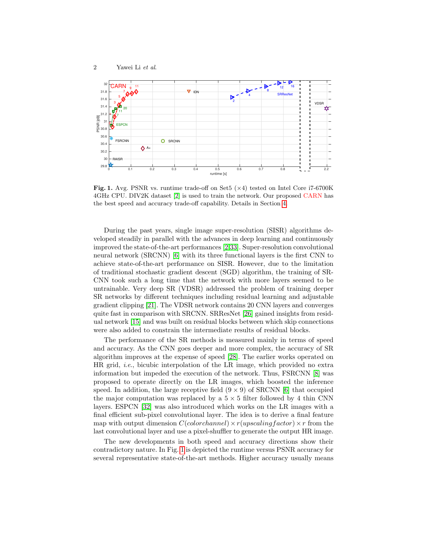

<span id="page-1-0"></span>Fig. 1. Avg. PSNR vs. runtime trade-off on Set5 ( $\times$ 4) tested on Intel Core i7-6700K 4GHz CPU. DIV2K dataset [\[2\]](#page-13-4) is used to train the network. Our proposed CARN has the best speed and accuracy trade-off capability. Details in Section [4.](#page-7-0)

During the past years, single image super-resolution (SISR) algorithms developed steadily in parallel with the advances in deep learning and continuously improved the state-of-the-art performances [\[2,](#page-13-4)[33\]](#page-15-1). Super-resolution convolutional neural network (SRCNN) [\[6\]](#page-13-2) with its three functional layers is the first CNN to achieve state-of-the-art performance on SISR. However, due to the limitation of traditional stochastic gradient descent (SGD) algorithm, the training of SR-CNN took such a long time that the network with more layers seemed to be untrainable. Very deep SR (VDSR) addressed the problem of training deeper SR networks by different techniques including residual learning and adjustable gradient clipping [\[21\]](#page-14-2). The VDSR network contains 20 CNN layers and converges quite fast in comparison with SRCNN. SRResNet [\[26\]](#page-14-6) gained insights from residual network [\[15\]](#page-14-3) and was built on residual blocks between which skip connections were also added to constrain the intermediate results of residual blocks.

The performance of the SR methods is measured mainly in terms of speed and accuracy. As the CNN goes deeper and more complex, the accuracy of SR algorithm improves at the expense of speed [\[28\]](#page-14-7). The earlier works operated on HR grid, *i.e.*, bicubic interpolation of the LR image, which provided no extra information but impeded the execution of the network. Thus, FSRCNN [\[8\]](#page-13-5) was proposed to operate directly on the LR images, which boosted the inference speed. In addition, the large receptive field  $(9 \times 9)$  of SRCNN [\[6\]](#page-13-2) that occupied the major computation was replaced by a  $5 \times 5$  filter followed by 4 thin CNN layers. ESPCN [\[32\]](#page-15-2) was also introduced which works on the LR images with a final efficient sub-pixel convolutional layer. The idea is to derive a final feature map with output dimension  $C(colorchannel) \times r(upscaling factor) \times r$  from the last convolutional layer and use a pixel-shuffler to generate the output HR image.

The new developments in both speed and accuracy directions show their contradictory nature. In Fig. [1](#page-1-0) is depicted the runtime versus PSNR accuracy for several representative state-of-the-art methods. Higher accuracy usually means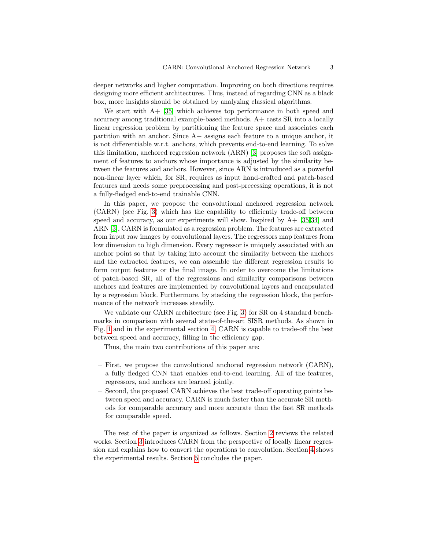deeper networks and higher computation. Improving on both directions requires designing more efficient architectures. Thus, instead of regarding CNN as a black box, more insights should be obtained by analyzing classical algorithms.

We start with A+ [\[35\]](#page-15-0) which achieves top performance in both speed and accuracy among traditional example-based methods. A+ casts SR into a locally linear regression problem by partitioning the feature space and associates each partition with an anchor. Since A+ assigns each feature to a unique anchor, it is not differentiable w.r.t. anchors, which prevents end-to-end learning. To solve this limitation, anchored regression network (ARN) [\[3\]](#page-13-6) proposes the soft assignment of features to anchors whose importance is adjusted by the similarity between the features and anchors. However, since ARN is introduced as a powerful non-linear layer which, for SR, requires as input hand-crafted and patch-based features and needs some preprocessing and post-precessing operations, it is not a fully-fledged end-to-end trainable CNN.

In this paper, we propose the convolutional anchored regression network (CARN) (see Fig. [3\)](#page-6-0) which has the capability to efficiently trade-off between speed and accuracy, as our experiments will show. Inspired by  $A + [35,34]$  $A + [35,34]$  $A + [35,34]$  and ARN [\[3\]](#page-13-6), CARN is formulated as a regression problem. The features are extracted from input raw images by convolutional layers. The regressors map features from low dimension to high dimension. Every regressor is uniquely associated with an anchor point so that by taking into account the similarity between the anchors and the extracted features, we can assemble the different regression results to form output features or the final image. In order to overcome the limitations of patch-based SR, all of the regressions and similarity comparisons between anchors and features are implemented by convolutional layers and encapsulated by a regression block. Furthermore, by stacking the regression block, the performance of the network increases steadily.

We validate our CARN architecture (see Fig. [3\)](#page-6-0) for SR on 4 standard benchmarks in comparison with several state-of-the-art SISR methods. As shown in Fig. [1](#page-1-0) and in the experimental section [4,](#page-7-0) CARN is capable to trade-off the best between speed and accuracy, filling in the efficiency gap.

Thus, the main two contributions of this paper are:

- First, we propose the convolutional anchored regression network (CARN), a fully fledged CNN that enables end-to-end learning. All of the features, regressors, and anchors are learned jointly.
- Second, the proposed CARN achieves the best trade-off operating points between speed and accuracy. CARN is much faster than the accurate SR methods for comparable accuracy and more accurate than the fast SR methods for comparable speed.

The rest of the paper is organized as follows. Section [2](#page-3-0) reviews the related works. Section [3](#page-3-1) introduces CARN from the perspective of locally linear regression and explains how to convert the operations to convolution. Section [4](#page-7-0) shows the experimental results. Section [5](#page-12-0) concludes the paper.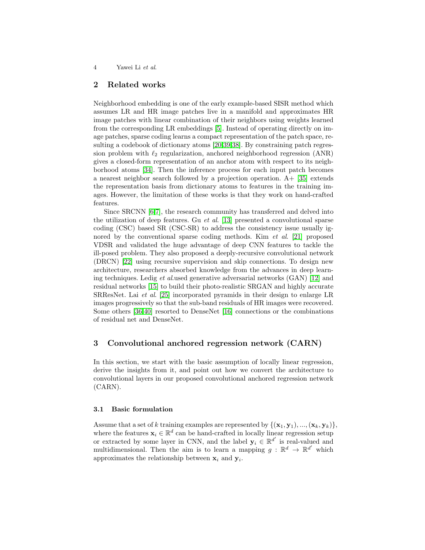## <span id="page-3-0"></span>2 Related works

Neighborhood embedding is one of the early example-based SISR method which assumes LR and HR image patches live in a manifold and approximates HR image patches with linear combination of their neighbors using weights learned from the corresponding LR embeddings [\[5\]](#page-13-7). Instead of operating directly on image patches, sparse coding learns a compact representation of the patch space, resulting a codebook of dictionary atoms [\[20,](#page-14-1)[39,](#page-15-4)[38\]](#page-15-5). By constraining patch regression problem with  $\ell_2$  regularization, anchored neighborhood regression (ANR) gives a closed-form representation of an anchor atom with respect to its neighborhood atoms [\[34\]](#page-15-3). Then the inference process for each input patch becomes a nearest neighbor search followed by a projection operation. A+ [\[35\]](#page-15-0) extends the representation basis from dictionary atoms to features in the training images. However, the limitation of these works is that they work on hand-crafted features.

Since SRCNN  $[6,7]$  $[6,7]$ , the research community has transferred and delved into the utilization of deep features. Gu et al. [\[13\]](#page-13-9) presented a convolutional sparse coding (CSC) based SR (CSC-SR) to address the consistency issue usually ignored by the conventional sparse coding methods. Kim *et al.* [\[21\]](#page-14-2) proposed VDSR and validated the huge advantage of deep CNN features to tackle the ill-posed problem. They also proposed a deeply-recursive convolutional network (DRCN) [\[22\]](#page-14-8) using recursive supervision and skip connections. To design new architecture, researchers absorbed knowledge from the advances in deep learning techniques. Ledig et al.used generative adversarial networks (GAN) [\[12\]](#page-13-10) and residual networks [\[15\]](#page-14-3) to build their photo-realistic SRGAN and highly accurate SRResNet. Lai et al. [\[25\]](#page-14-9) incorporated pyramids in their design to enlarge LR images progressively so that the sub-band residuals of HR images were recovered. Some others [\[36](#page-15-6)[,40\]](#page-15-7) resorted to DenseNet [\[16\]](#page-14-10) connections or the combinations of residual net and DenseNet.

## <span id="page-3-1"></span>3 Convolutional anchored regression network (CARN)

In this section, we start with the basic assumption of locally linear regression, derive the insights from it, and point out how we convert the architecture to convolutional layers in our proposed convolutional anchored regression network (CARN).

### <span id="page-3-2"></span>3.1 Basic formulation

Assume that a set of k training examples are represented by  $\{(\mathbf{x}_1, \mathbf{y}_1), ..., (\mathbf{x}_k, \mathbf{y}_k)\}\$ where the features  $\mathbf{x}_i \in \mathbb{R}^d$  can be hand-crafted in locally linear regression setup or extracted by some layer in CNN, and the label  $y_i \in \mathbb{R}^{d'}$  is real-valued and multidimensional. Then the aim is to learn a mapping  $g : \mathbb{R}^d \to \mathbb{R}^{d'}$  which approximates the relationship between  $\mathbf{x}_i$  and  $\mathbf{y}_i$ .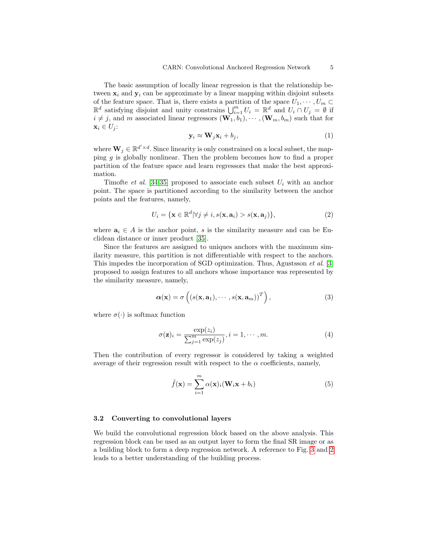The basic assumption of locally linear regression is that the relationship between  $x_i$  and  $y_i$  can be approximate by a linear mapping within disjoint subsets of the feature space. That is, there exists a partition of the space  $U_1, \dots, U_m \subset$  $\mathbb{R}^d$  satisfying disjoint and unity constrains  $\bigcup_{i=1}^m U_i = \mathbb{R}^d$  and  $U_i \cap U_j = \emptyset$  if  $i \neq j$ , and m associated linear regressors  $(\mathbf{W}_1, b_1), \cdots, (\mathbf{W}_m, b_m)$  such that for  $\mathbf{x}_i \in U_i$ :

$$
\mathbf{y}_i \approx \mathbf{W}_j \mathbf{x}_i + b_j,\tag{1}
$$

where  $\mathbf{W}_j \in \mathbb{R}^{d' \times d}$ . Since linearity is only constrained on a local subset, the mapping g is globally nonlinear. Then the problem becomes how to find a proper partition of the feature space and learn regressors that make the best approximation.

Timofte *et al.* [\[34](#page-15-3)[,35\]](#page-15-0) proposed to associate each subset  $U_i$  with an anchor point. The space is partitioned according to the similarity between the anchor points and the features, namely,

$$
U_i = \{ \mathbf{x} \in \mathbb{R}^d | \forall j \neq i, s(\mathbf{x}, \mathbf{a}_i) > s(\mathbf{x}, \mathbf{a}_j) \},
$$
(2)

where  $a_i \in A$  is the anchor point, s is the similarity measure and can be Euclidean distance or inner product [\[35\]](#page-15-0).

Since the features are assigned to uniques anchors with the maximum similarity measure, this partition is not differentiable with respect to the anchors. This impedes the incorporation of SGD optimization. Thus, Agustsson et al. [\[3\]](#page-13-6) proposed to assign features to all anchors whose importance was represented by the similarity measure, namely,

<span id="page-4-0"></span>
$$
\boldsymbol{\alpha}(\mathbf{x}) = \sigma\left( \left( s(\mathbf{x}, \mathbf{a}_1), \cdots, s(\mathbf{x}, \mathbf{a}_m) \right)^T \right), \tag{3}
$$

where  $\sigma(\cdot)$  is softmax function

$$
\sigma(\mathbf{z})_i = \frac{\exp(z_i)}{\sum_{j=1}^m \exp(z_j)}, i = 1, \cdots, m.
$$
\n(4)

Then the contribution of every regressor is considered by taking a weighted average of their regression result with respect to the  $\alpha$  coefficients, namely,

<span id="page-4-1"></span>
$$
\tilde{f}(\mathbf{x}) = \sum_{i=1}^{m} \alpha(\mathbf{x})_i (\mathbf{W}_i \mathbf{x} + b_i)
$$
\n(5)

#### 3.2 Converting to convolutional layers

We build the convolutional regression block based on the above analysis. This regression block can be used as an output layer to form the final SR image or as a building block to form a deep regression network. A reference to Fig. [3](#page-6-0) and [2](#page-5-0) leads to a better understanding of the building process.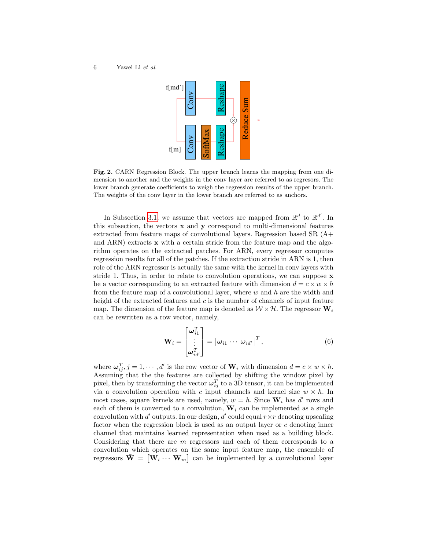

<span id="page-5-0"></span>Fig. 2. CARN Regression Block. The upper branch learns the mapping from one dimension to another and the weights in the conv layer are referred to as regresors. The lower branch generate coefficients to weigh the regression results of the upper branch. The weights of the conv layer in the lower branch are referred to as anchors.

In Subsection [3.1,](#page-3-2) we assume that vectors are mapped from  $\mathbb{R}^d$  to  $\mathbb{R}^{d'}$ . In this subsection, the vectors x and y correspond to multi-dimensional features extracted from feature maps of convolutional layers. Regression based SR (A+ and ARN) extracts x with a certain stride from the feature map and the algorithm operates on the extracted patches. For ARN, every regressor computes regression results for all of the patches. If the extraction stride in ARN is 1, then role of the ARN regressor is actually the same with the kernel in conv layers with stride 1. Thus, in order to relate to convolution operations, we can suppose  $x$ be a vector corresponding to an extracted feature with dimension  $d = c \times w \times h$ from the feature map of a convolutional layer, where  $w$  and  $h$  are the width and height of the extracted features and  $c$  is the number of channels of input feature map. The dimension of the feature map is denoted as  $W \times H$ . The regressor  $W_i$ can be rewritten as a row vector, namely,

$$
\mathbf{W}_{i} = \begin{bmatrix} \boldsymbol{\omega}_{i1}^{T} \\ \vdots \\ \boldsymbol{\omega}_{id'}^{T} \end{bmatrix} = \begin{bmatrix} \boldsymbol{\omega}_{i1} & \cdots & \boldsymbol{\omega}_{id'} \end{bmatrix}^{T}, \qquad (6)
$$

where  $\boldsymbol{\omega}_{ij}^T, j = 1, \cdots, d'$  is the row vector of  $\mathbf{W}_i$  with dimension  $d = c \times w \times h$ . Assuming that the the features are collected by shifting the window pixel by pixel, then by transforming the vector  $\boldsymbol{\omega}_{ij}^T$  to a 3D tensor, it can be implemented via a convolution operation with c input channels and kernel size  $w \times h$ . In most cases, square kernels are used, namely,  $w = h$ . Since  $W_i$  has d' rows and each of them is converted to a convolution,  $\mathbf{W}_i$  can be implemented as a single convolution with d' outputs. In our design, d' could equal  $r \times r$  denoting upscaling factor when the regression block is used as an output layer or c denoting inner channel that maintains learned representation when used as a building block. Considering that there are m regressors and each of them corresponds to a convolution which operates on the same input feature map, the ensemble of regressors  $\bar{\mathbf{W}} = [\mathbf{W}_i \cdots \mathbf{W}_m]$  can be implemented by a convolutional layer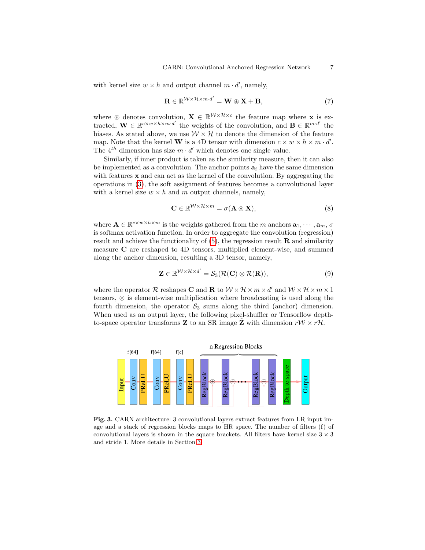with kernel size  $w \times h$  and output channel  $m \cdot d'$ , namely,

<span id="page-6-1"></span>
$$
\mathbf{R} \in \mathbb{R}^{\mathcal{W} \times \mathcal{H} \times m \cdot d'} = \mathbf{W} \circledast \mathbf{X} + \mathbf{B},\tag{7}
$$

where  $\mathscr B$  denotes convolution,  $\mathbf X \in \mathbb R^{W \times H \times c}$  the feature map where x is extracted,  $\mathbf{W} \in \mathbb{R}^{c \times w \times h \times m \cdot d'}$  the weights of the convolution, and  $\mathbf{B} \in \mathbb{R}^{m \cdot d'}$  the biases. As stated above, we use  $W \times H$  to denote the dimension of the feature map. Note that the kernel **W** is a 4D tensor with dimension  $c \times w \times h \times m \cdot d'$ . The  $4^{th}$  dimension has size  $m \cdot d'$  which denotes one single value.

Similarly, if inner product is taken as the similarity measure, then it can also be implemented as a convolution. The anchor points  $a_i$  have the same dimension with features **x** and can act as the kernel of the convolution. By aggregating the operations in [\(3\)](#page-4-0), the soft assignment of features becomes a convolutional layer with a kernel size  $w \times h$  and m output channels, namely,

<span id="page-6-2"></span>
$$
\mathbf{C} \in \mathbb{R}^{\mathcal{W}\times\mathcal{H}\times m} = \sigma(\mathbf{A} \circledast \mathbf{X}),\tag{8}
$$

where  $\mathbf{A} \in \mathbb{R}^{c \times w \times h \times m}$  is the weights gathered from the m anchors  $\mathbf{a}_1, \dots, \mathbf{a}_m, \sigma$ is softmax activation function. In order to aggregate the convolution (regression) result and achieve the functionality of  $(5)$ , the regression result **R** and similarity measure C are reshaped to 4D tensors, multiplied element-wise, and summed along the anchor dimension, resulting a 3D tensor, namely,

<span id="page-6-3"></span>
$$
\mathbf{Z} \in \mathbb{R}^{\mathcal{W} \times \mathcal{H} \times d'} = \mathcal{S}_3(\mathcal{R}(\mathbf{C}) \otimes \mathcal{R}(\mathbf{R})),\tag{9}
$$

where the operator  $\mathcal R$  reshapes **C** and **R** to  $\mathcal W \times \mathcal H \times m \times d'$  and  $\mathcal W \times \mathcal H \times m \times 1$ tensors, ⊗ is element-wise multiplication where broadcasting is used along the fourth dimension, the operator  $S_3$  sums along the third (anchor) dimension. When used as an output layer, the following pixel-shuffler or Tensorflow depthto-space operator transforms **Z** to an SR image **Z** with dimension  $r \mathcal{W} \times r \mathcal{H}$ .



<span id="page-6-0"></span>Fig. 3. CARN architecture: 3 convolutional layers extract features from LR input image and a stack of regression blocks maps to HR space. The number of filters (f) of convolutional layers is shown in the square brackets. All filters have kernel size  $3 \times 3$ and stride 1. More details in Section [3.](#page-3-1)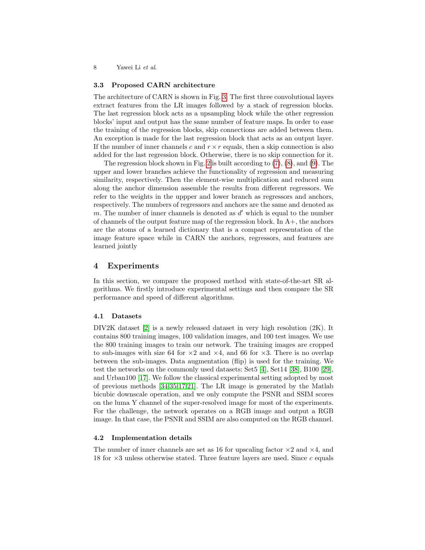#### 3.3 Proposed CARN architecture

The architecture of CARN is shown in Fig. [3.](#page-6-0) The first three convolutional layers extract features from the LR images followed by a stack of regression blocks. The last regression block acts as a upsampling block while the other regression blocks' input and output has the same number of feature maps. In order to ease the training of the regression blocks, skip connections are added between them. An exception is made for the last regression block that acts as an output layer. If the number of inner channels c and  $r \times r$  equals, then a skip connection is also added for the last regression block. Otherwise, there is no skip connection for it.

The regression block shown in Fig. [2](#page-5-0) is built according to  $(7)$ ,  $(8)$ , and  $(9)$ . The upper and lower branches achieve the functionality of regression and measuring similarity, respectively. Then the element-wise multiplication and reduced sum along the anchor dimension assemble the results from different regressors. We refer to the weights in the uppper and lower branch as regressors and anchors, respectively. The numbers of regressors and anchors are the same and denoted as  $m$ . The number of inner channels is denoted as  $d'$  which is equal to the number of channels of the output feature map of the regression block. In  $A<sub>+</sub>$ , the anchors are the atoms of a learned dictionary that is a compact representation of the image feature space while in CARN the anchors, regressors, and features are learned jointly

## <span id="page-7-0"></span>4 Experiments

In this section, we compare the proposed method with state-of-the-art SR algorithms. We firstly introduce experimental settings and then compare the SR performance and speed of different algorithms.

#### 4.1 Datasets

DIV2K dataset [\[2\]](#page-13-4) is a newly released dataset in very high resolution (2K). It contains 800 training images, 100 validation images, and 100 test images. We use the 800 training images to train our network. The training images are cropped to sub-images with size 64 for  $\times 2$  and  $\times 4$ , and 66 for  $\times 3$ . There is no overlap between the sub-images. Data augmentation (flip) is used for the training. We test the networks on the commonly used datasets: Set5 [\[4\]](#page-13-11), Set14 [\[38\]](#page-15-5), B100 [\[29\]](#page-14-11), and Urban100 [\[17\]](#page-14-12). We follow the classical experimental setting adopted by most of previous methods [\[34](#page-15-3)[,35](#page-15-0)[,17](#page-14-12)[,21\]](#page-14-2). The LR image is generated by the Matlab bicubic downscale operation, and we only compute the PSNR and SSIM scores on the luma Y channel of the super-resolved image for most of the experiments. For the challenge, the network operates on a RGB image and output a RGB image. In that case, the PSNR and SSIM are also computed on the RGB channel.

#### 4.2 Implementation details

The number of inner channels are set as 16 for upscaling factor  $\times 2$  and  $\times 4$ , and 18 for  $\times$ 3 unless otherwise stated. Three feature layers are used. Since c equals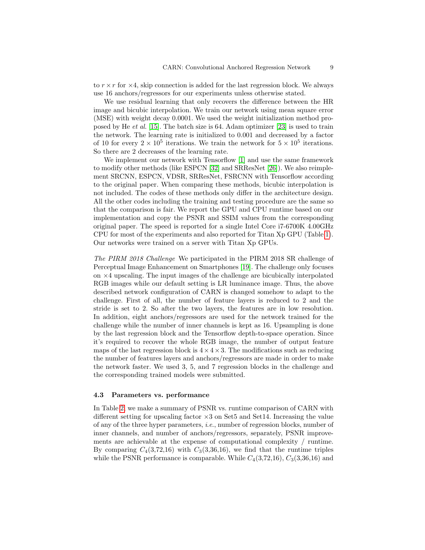to  $r \times r$  for  $\times$ 4, skip connection is added for the last regression block. We always use 16 anchors/regressors for our experiments unless otherwise stated.

We use residual learning that only recovers the difference between the HR image and bicubic interpolation. We train our network using mean square error (MSE) with weight decay 0.0001. We used the weight initialization method proposed by He et al. [\[15\]](#page-14-3). The batch size is 64. Adam optimizer [\[23\]](#page-14-13) is used to train the network. The learning rate is initialized to 0.001 and decreased by a factor of 10 for every  $2 \times 10^5$  iterations. We train the network for  $5 \times 10^5$  iterations. So there are 2 decreases of the learning rate.

We implement our network with Tensorflow [\[1\]](#page-13-12) and use the same framework to modify other methods (like ESPCN [\[32\]](#page-15-2) and SRResNet [\[26\]](#page-14-6)). We also reimplement SRCNN, ESPCN, VDSR, SRResNet, FSRCNN with Tensorflow according to the original paper. When comparing these methods, bicubic interpolation is not included. The codes of these methods only differ in the architecture design. All the other codes including the training and testing procedure are the same so that the comparison is fair. We report the GPU and CPU runtime based on our implementation and copy the PSNR and SSIM values from the corresponding original paper. The speed is reported for a single Intel Core i7-6700K 4.00GHz CPU for most of the experiments and also reported for Titan Xp GPU (Table [1\)](#page-9-0). Our networks were trained on a server with Titan Xp GPUs.

The PIRM 2018 Challenge We participated in the PIRM 2018 SR challenge of Perceptual Image Enhancement on Smartphones [\[19\]](#page-14-14). The challenge only focuses on  $\times$ 4 upscaling. The input images of the challenge are bicubically interpolated RGB images while our default setting is LR luminance image. Thus, the above described network configuration of CARN is changed somehow to adapt to the challenge. First of all, the number of feature layers is reduced to 2 and the stride is set to 2. So after the two layers, the features are in low resolution. In addition, eight anchors/regressors are used for the network trained for the challenge while the number of inner channels is kept as 16. Upsampling is done by the last regression block and the Tensorflow depth-to-space operation. Since it's required to recover the whole RGB image, the number of output feature maps of the last regression block is  $4 \times 4 \times 3$ . The modifications such as reducing the number of features layers and anchors/regressors are made in order to make the network faster. We used 3, 5, and 7 regression blocks in the challenge and the corresponding trained models were submitted.

#### 4.3 Parameters vs. performance

In Table [2,](#page-9-1) we make a summary of PSNR vs. runtime comparison of CARN with different setting for upscaling factor  $\times 3$  on Set5 and Set14. Increasing the value of any of the three hyper parameters, i.e., number of regression blocks, number of inner channels, and number of anchors/regressors, separately, PSNR improvements are achievable at the expense of computational complexity / runtime. By comparing  $C_4(3,72,16)$  with  $C_3(3,36,16)$ , we find that the runtime triples while the PSNR performance is comparable. While  $C_4(3,72,16)$ ,  $C_3(3,36,16)$  and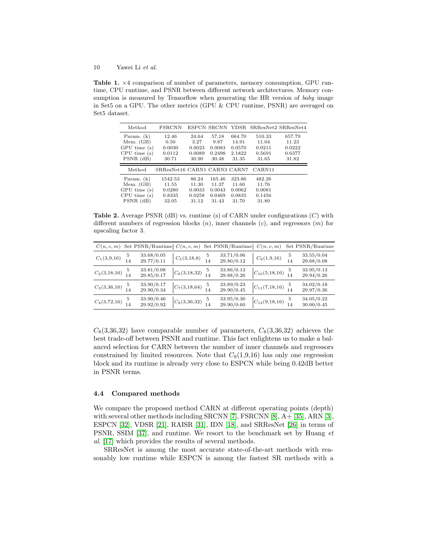<span id="page-9-0"></span>Table 1. ×4 comparison of number of parameters, memory consumption, GPU runtime, CPU runtime, and PSNR between different network architectures. Memory consumption is measured by Tensorflow when generating the HR version of baby image in Set5 on a GPU. The other metrics (GPU & CPU runtime, PSNR) are averaged on Set5 dataset.

| Method           | <b>FSRCNN</b>                |        |        |        |                    | ESPCN SRCNN VDSR SRResNet2 SRResNet4 |
|------------------|------------------------------|--------|--------|--------|--------------------|--------------------------------------|
| Param. (k)       | 12.46                        | 24.64  | 57.18  | 664.70 | 510.33             | 657.79                               |
| Mem. $(GB)$      | 0.50                         | 3.27   | 9.87   | 14.91  | 11.04              | 11.23                                |
| $GPU$ time $(s)$ | 0.0030                       | 0.0023 | 0.0083 | 0.0570 | 0.0211             | 0.0222                               |
| CPU time(s)      | 0.0112                       | 0.0089 | 0.2498 | 2.1822 | 0.5691             | 0.6377                               |
| $PSNR$ (dB)      | 30.71                        | 30.90  | 30.48  | 31.35  | 31.65              | 31.82                                |
|                  |                              |        |        |        |                    |                                      |
| Method           | SRResNet16 CARN1 CARN3 CARN7 |        |        |        | CARN <sub>11</sub> |                                      |
| Param. (k)       | 1542.53                      | 86.24  | 165.46 | 323.86 | 482.26             |                                      |
| Mem. (GB)        | 11.55                        | 11.30  | 11.37  | 11.60  | 11.76              |                                      |
| $GPU$ time $(s)$ | 0.0280                       | 0.0033 | 0.0043 | 0.0062 | 0.0081             |                                      |
| CPU time(s)      | 0.8335                       | 0.0258 | 0.0469 | 0.0835 | 0.1456             |                                      |

<span id="page-9-1"></span>**Table 2.** Average PSNR (dB) vs. runtime (s) of CARN under configurations  $(C)$  with different numbers of regression blocks  $(n)$ , inner channels  $(c)$ , and regressors  $(m)$  for upscaling factor 3.

|                                                       |         |                          |                                                |                | $C(n, c, m)$ Set PSNR/Runtime $C(n, c, m)$ Set PSNR/Runtime $C(n, c, m)$ |                                            |         | Set PSNR/Runtime         |
|-------------------------------------------------------|---------|--------------------------|------------------------------------------------|----------------|--------------------------------------------------------------------------|--------------------------------------------|---------|--------------------------|
| $C_1(3,9,16)$                                         | 5<br>14 | 33.68/0.05<br>29.77/0.11 | $C_5(3, 18, 8)$                                | 5<br>14        | 33.71/0.06<br>29.80/0.12                                                 | $C_9(1,9,16)$                              | 5<br>14 | 33.55/0.04<br>29.68/0.08 |
| $C_2(3,18,16)$ $\begin{array}{c} 5 \\ 14 \end{array}$ |         | 33.81/0.08<br>29.85/0.17 | $C_6(3,\!18,\!32)$                             | $\frac{5}{14}$ | 33.86/0.13<br>29.88/0.26                                                 | $\left C_{10}(5,18,16)\right \frac{5}{14}$ |         | 33.95/0.13<br>29.94/0.26 |
| $C_3(3,36,16)$ $\begin{array}{c} 5 \\ 14 \end{array}$ |         | 33.90/0.17<br>29.90/0.34 | $C_7(3, 18, 64)$                               | 5<br>14        | 33.89/0.23<br>29.90/0.45                                                 | $C_{11}(7,18,16)$ $\frac{5}{14}$           |         | 34.02/0.18<br>29.97/0.36 |
| $C_4(3,72,16)$ $\begin{array}{c} 5 \\ 14 \end{array}$ |         | 33.90/0.46<br>29.92/0.92 | $C_8(3,36,32)\begin{array}{c}5\\14\end{array}$ | 5              | 33.95/0.30<br>29.90/0.60                                                 | $C_{12}(9,18,16)$                          |         | 34.05/0.22<br>30.00/0.45 |

 $C_8(3,36,32)$  have comparable number of parameters,  $C_8(3,36,32)$  achieves the best trade-off between PSNR and runtime. This fact enlightens us to make a balanced selection for CARN between the number of inner channels and regressors constrained by limited resources. Note that  $C_9(1,9,16)$  has only one regression block and its runtime is already very close to ESPCN while being 0.42dB better in PSNR terms.

#### 4.4 Compared methods

We compare the proposed method CARN at different operating points (depth) with several other methods including SRCNN [\[7\]](#page-13-8), FSRCNN [\[8\]](#page-13-5), A+ [\[35\]](#page-15-0), ARN [\[3\]](#page-13-6), ESPCN [\[32\]](#page-15-2), VDSR [\[21\]](#page-14-2), RAISR [\[31\]](#page-14-15), IDN [\[18\]](#page-14-16), and SRResNet [\[26\]](#page-14-6) in terms of PSNR, SSIM [\[37\]](#page-15-8), and runtime. We resort to the benchmark set by Huang et al. [\[17\]](#page-14-12) which provides the results of several methods.

SRResNet is among the most accurate state-of-the-art methods with reasonably low runtime while ESPCN is among the fastest SR methods with a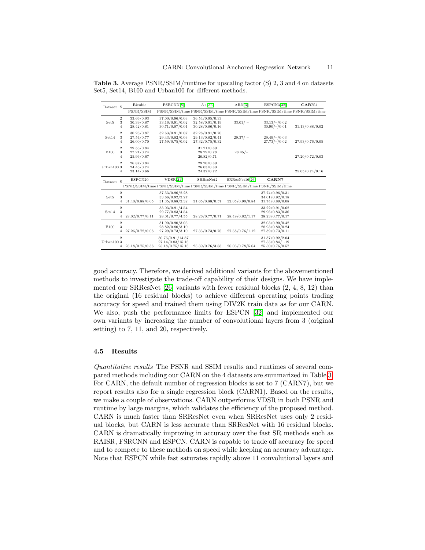| Dataset S   |                          | Bicubic                                | FSRCNN[8]                                                                              | $A + [35]$                                            | ARN[3]          | ESPCN3[32]                                            | CARN1           |
|-------------|--------------------------|----------------------------------------|----------------------------------------------------------------------------------------|-------------------------------------------------------|-----------------|-------------------------------------------------------|-----------------|
|             |                          | PSNR/SSIM                              | PSNR/SSIM/time PSNR/SSIM/time PSNR/SSIM/time PSNR/SSIM/time PSNR/SSIM/time             |                                                       |                 |                                                       |                 |
| Set5        | $\overline{2}$<br>3<br>4 | 33.66/0.93<br>30.39/0.87<br>28.42/0.81 | 37.00/0.96/0.03<br>33.16/0.91/0.02<br>30.71/0.87/0.01                                  | 36.54/0.95/0.33<br>32.58/0.91/0.19<br>30.28/0.86/0.16 | $33.01/$ -      | 33.13/–/0.02<br>$30.90/-/0.01$                        | 31.13/0.88/0.02 |
| Set14       | $\overline{2}$<br>3<br>4 | 30.23/0.87<br>27.54/0.77<br>26.00/0.70 | 32.63/0.91/0.07<br>29.43/0.82/0.03<br>27.59/0.75/0.02                                  | 32.28/0.91/0.70<br>29.13/0.82/0.41<br>27.32/0.75/0.32 | $29.37/$ -      | $29.49/-/0.03$<br>27.73/–/0.02                        | 27.93/0.76/0.05 |
| <b>B100</b> | $\overline{2}$<br>3<br>4 | 29.56/0.84<br>27.21/0.74<br>25.96/0.67 |                                                                                        | 31.21/0.89<br>28.29/0.78<br>26.82/0.71                | $28.45/-$       |                                                       | 27.20/0.72/0.03 |
| Urban1003   | $\overline{2}$<br>4      | 26.87/0.84<br>24.46/0.74<br>23.14/0.66 |                                                                                        | 29.20/0.89<br>26.03/0.80<br>24.32/0.72                |                 |                                                       | 25.05/0.74/0.16 |
|             |                          |                                        |                                                                                        |                                                       |                 |                                                       |                 |
| Dataset S   |                          | ESPCN20                                | VDSR[21]<br>PSNR/SSIM/time PSNR/SSIM/time PSNR/SSIM/time PSNR/SSIM/time PSNR/SSIM/time | SRResNet2                                             | SRResNet16[26]  | CARN7                                                 |                 |
| Set5        | $\overline{2}$<br>3<br>4 | 31.40/0.88/0.05                        | 37.53/0.96/2.28<br>33.66/0.92/2.27<br>31.35/0.88/2.32                                  | 31.65/0.88/0.57                                       | 32.05/0.90/0.84 | 37.74/0.96/0.31<br>34.01/0.92/0.18<br>31.74/0.89/0.08 |                 |
| Set14       | $\overline{2}$<br>3<br>4 | 28.02/0.77/0.11                        | 33.03/0.91/4.54<br>29.77/0.83/4.54<br>28.01/0.77/4.55                                  | 28.26/0.77/0.71                                       | 28.49/0.82/1.17 | 33.22/0.91/0.62<br>29.96/0.83/0.36<br>28.23/0.77/0.17 |                 |
| <b>B100</b> | $\overline{2}$<br>3<br>4 | 27.26/0.72/0.08                        | 31.90/0.90/3.05<br>28.82/0.80/3.10<br>27.29/0.73/3.10                                  | 27.35/0.73/0.76                                       | 27.58/0.76/1.12 | 32.03/0.90/0.42<br>28.93/0.80/0.24<br>27.39/0.73/0.11 |                 |

<span id="page-10-0"></span>Table 3. Average PSNR/SSIM/runtime for upscaling factor (S) 2, 3 and 4 on datasets Set5, Set14, B100 and Urban100 for different methods.

good accuracy. Therefore, we derived additional variants for the abovementioned methods to investigate the trade-off capability of their designs. We have implemented our SRResNet [\[26\]](#page-14-6) variants with fewer residual blocks (2, 4, 8, 12) than the original (16 residual blocks) to achieve different operating points trading accuracy for speed and trained them using DIV2K train data as for our CARN. We also, push the performance limits for ESPCN [\[32\]](#page-15-2) and implemented our own variants by increasing the number of convolutional layers from 3 (original setting) to 7, 11, and 20, respectively.

### 4.5 Results

Quantitative results The PSNR and SSIM results and runtimes of several compared methods including our CARN on the 4 datasets are summarized in Table [3.](#page-10-0) For CARN, the default number of regression blocks is set to 7 (CARN7), but we report results also for a single regression block (CARN1). Based on the results, we make a couple of observations. CARN outperforms VDSR in both PSNR and runtime by large margins, which validates the efficiency of the proposed method. CARN is much faster than SRResNet even when SRResNet uses only 2 residual blocks, but CARN is less accurate than SRResNet with 16 residual blocks. CARN is dramatically improving in accuracy over the fast SR methods such as RAISR, FSRCNN and ESPCN. CARN is capable to trade off accuracy for speed and to compete to these methods on speed while keeping an accuracy advantage. Note that ESPCN while fast saturates rapidly above 11 convolutional layers and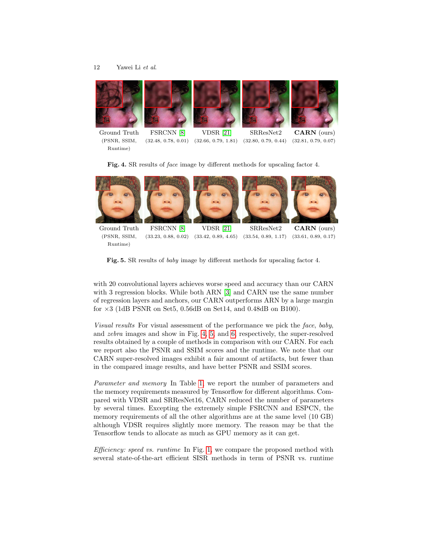

Ground Truth (PSNR, SSIM, Runtime)

FSRCNN [\[8\]](#page-13-5)





<span id="page-11-0"></span>Fig. 4. SR results of face image by different methods for upscaling factor 4.



Ground Truth (PSNR, SSIM, Runtime) FSRCNN [\[8\]](#page-13-5) (33.23, 0.88, 0.02) (33.42, 0.89, 4.65) (33.54, 0.89, 1.17) VDSR [\[21\]](#page-14-2) SRResNet2 CARN (ours) (33.61, 0.89, 0.17)

<span id="page-11-1"></span>Fig. 5. SR results of baby image by different methods for upscaling factor 4.

with 20 convolutional layers achieves worse speed and accuracy than our CARN with 3 regression blocks. While both ARN [\[3\]](#page-13-6) and CARN use the same number of regression layers and anchors, our CARN outperforms ARN by a large margin for  $\times 3$  (1dB PSNR on Set5, 0.56dB on Set14, and 0.48dB on B100).

Visual results For visual assessment of the performance we pick the face, baby, and zebra images and show in Fig. [4,](#page-11-0) [5,](#page-11-1) and [6,](#page-12-1) respectively, the super-resolved results obtained by a couple of methods in comparison with our CARN. For each we report also the PSNR and SSIM scores and the runtime. We note that our CARN super-resolved images exhibit a fair amount of artifacts, but fewer than in the compared image results, and have better PSNR and SSIM scores.

Parameter and memory In Table [1,](#page-9-0) we report the number of parameters and the memory requirements measured by Tensorflow for different algorithms. Compared with VDSR and SRResNet16, CARN reduced the number of parameters by several times. Excepting the extremely simple FSRCNN and ESPCN, the memory requirements of all the other algorithms are at the same level (10 GB) although VDSR requires slightly more memory. The reason may be that the Tensorflow tends to allocate as much as GPU memory as it can get.

Efficiency: speed vs. runtime In Fig. [1,](#page-1-0) we compare the proposed method with several state-of-the-art efficient SISR methods in term of PSNR vs. runtime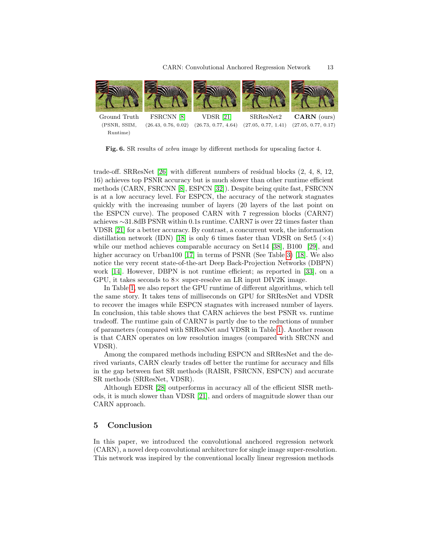

Fig. 6. SR results of zebra image by different methods for upscaling factor 4.

<span id="page-12-1"></span>trade-off. SRResNet [\[26\]](#page-14-6) with different numbers of residual blocks (2, 4, 8, 12, 16) achieves top PSNR accuracy but is much slower than other runtime efficient methods (CARN, FSRCNN [\[8\]](#page-13-5), ESPCN [\[32\]](#page-15-2)). Despite being quite fast, FSRCNN is at a low accuracy level. For ESPCN, the accuracy of the network stagnates quickly with the increasing number of layers (20 layers of the last point on the ESPCN curve). The proposed CARN with 7 regression blocks (CARN7) achieves ∼31.8dB PSNR within 0.1s runtime. CARN7 is over 22 times faster than VDSR [\[21\]](#page-14-2) for a better accuracy. By contrast, a concurrent work, the information distillation network (IDN) [\[18\]](#page-14-16) is only 6 times faster than VDSR on Set5  $(\times 4)$ while our method achieves comparable accuracy on Set14 [\[38\]](#page-15-5), B100 [\[29\]](#page-14-11), and higher accuracy on Urban100 [\[17\]](#page-14-12) in terms of PSNR (See Table [3\)](#page-10-0) [\[18\]](#page-14-16). We also notice the very recent state-of-the-art Deep Back-Projection Networks (DBPN) work [\[14\]](#page-13-13). However, DBPN is not runtime efficient; as reported in [\[33\]](#page-15-1), on a GPU, it takes seconds to  $8\times$  super-resolve an LR input DIV2K image.

In Table [1,](#page-9-0) we also report the GPU runtime of different algorithms, which tell the same story. It takes tens of milliseconds on GPU for SRResNet and VDSR to recover the images while ESPCN stagnates with increased number of layers. In conclusion, this table shows that CARN achieves the best PSNR vs. runtime tradeoff. The runtime gain of CARN7 is partly due to the reductions of number of parameters (compared with SRResNet and VDSR in Table [1\)](#page-9-0). Another reason is that CARN operates on low resolution images (compared with SRCNN and VDSR).

Among the compared methods including ESPCN and SRResNet and the derived variants, CARN clearly trades off better the runtime for accuracy and fills in the gap between fast SR methods (RAISR, FSRCNN, ESPCN) and accurate SR methods (SRResNet, VDSR).

Although EDSR [\[28\]](#page-14-7) outperforms in accuracy all of the efficient SISR methods, it is much slower than VDSR [\[21\]](#page-14-2), and orders of magnitude slower than our CARN approach.

## <span id="page-12-0"></span>5 Conclusion

In this paper, we introduced the convolutional anchored regression network (CARN), a novel deep convolutional architecture for single image super-resolution. This network was inspired by the conventional locally linear regression methods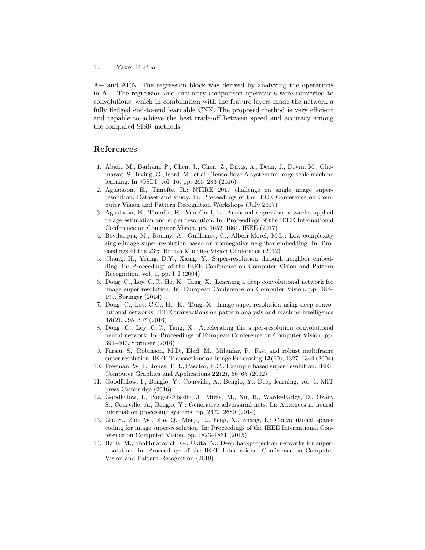A+ and ARN. The regression block was derived by analyzing the operations in A+. The regression and similarity comparison operations were converted to convolutions, which in combination with the feature layers made the network a fully fledged end-to-end learnable CNN. The proposed method is very efficient and capable to achieve the best trade-off between speed and accuracy among the compared SISR methods.

## References

- <span id="page-13-12"></span>1. Abadi, M., Barham, P., Chen, J., Chen, Z., Davis, A., Dean, J., Devin, M., Ghemawat, S., Irving, G., Isard, M., et al.: Tensorflow: A system for large-scale machine learning. In: OSDI. vol. 16, pp. 265–283 (2016)
- <span id="page-13-4"></span>2. Agustsson, E., Timofte, R.: NTIRE 2017 challenge on single image superresolution: Dataset and study. In: Proceedings of the IEEE Conference on Computer Vision and Pattern Recognition Workshops (July 2017)
- <span id="page-13-6"></span>3. Agustsson, E., Timofte, R., Van Gool, L.: Anchored regression networks applied to age estimation and super resolution. In: Proceedings of the IEEE International Conference on Computer Vision. pp. 1652–1661. IEEE (2017)
- <span id="page-13-11"></span>4. Bevilacqua, M., Roumy, A., Guillemot, C., Alberi-Morel, M.L.: Low-complexity single-image super-resolution based on nonnegative neighbor embedding. In: Proceedings of the 23rd British Machine Vision Conference (2012)
- <span id="page-13-7"></span>5. Chang, H., Yeung, D.Y., Xiong, Y.: Super-resolution through neighbor embedding. In: Proceedings of the IEEE Conference on Computer Vision and Pattern Recognition. vol. 1, pp. I–I (2004)
- <span id="page-13-2"></span>6. Dong, C., Loy, C.C., He, K., Tang, X.: Learning a deep convolutional network for image super-resolution. In: European Conference on Computer Vision. pp. 184– 199. Springer (2014)
- <span id="page-13-8"></span>7. Dong, C., Loy, C.C., He, K., Tang, X.: Image super-resolution using deep convolutional networks. IEEE transactions on pattern analysis and machine intelligence 38(2), 295–307 (2016)
- <span id="page-13-5"></span>8. Dong, C., Loy, C.C., Tang, X.: Accelerating the super-resolution convolutional neural network. In: Proceedings of European Conference on Computer Vision. pp. 391–407. Springer (2016)
- <span id="page-13-1"></span>9. Farsiu, S., Robinson, M.D., Elad, M., Milanfar, P.: Fast and robust multiframe super resolution. IEEE Transactions on Image Processing 13(10), 1327–1344 (2004)
- <span id="page-13-0"></span>10. Freeman, W.T., Jones, T.R., Pasztor, E.C.: Example-based super-resolution. IEEE Computer Graphics and Applications 22(2), 56–65 (2002)
- <span id="page-13-3"></span>11. Goodfellow, I., Bengio, Y., Courville, A., Bengio, Y.: Deep learning, vol. 1. MIT press Cambridge (2016)
- <span id="page-13-10"></span>12. Goodfellow, I., Pouget-Abadie, J., Mirza, M., Xu, B., Warde-Farley, D., Ozair, S., Courville, A., Bengio, Y.: Generative adversarial nets. In: Advances in neural information processing systems. pp. 2672–2680 (2014)
- <span id="page-13-9"></span>13. Gu, S., Zuo, W., Xie, Q., Meng, D., Feng, X., Zhang, L.: Convolutional sparse coding for image super-resolution. In: Proceedings of the IEEE International Conference on Computer Vision. pp. 1823–1831 (2015)
- <span id="page-13-13"></span>14. Haris, M., Shakhnarovich, G., Ukita, N.: Deep backprojection networks for superresolution. In: Proceedings of the IEEE International Conference on Computer Vision and Pattern Recognition (2018)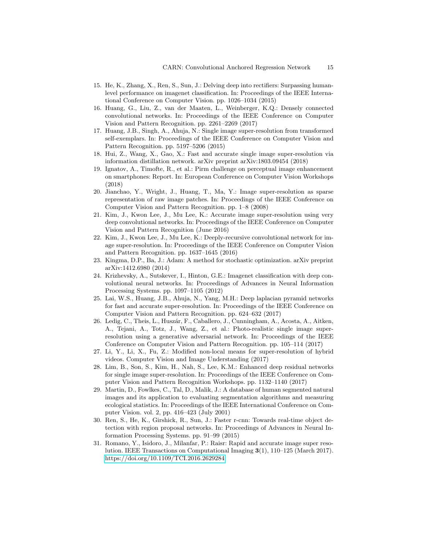- <span id="page-14-3"></span>15. He, K., Zhang, X., Ren, S., Sun, J.: Delving deep into rectifiers: Surpassing humanlevel performance on imagenet classification. In: Proceedings of the IEEE International Conference on Computer Vision. pp. 1026–1034 (2015)
- <span id="page-14-10"></span>16. Huang, G., Liu, Z., van der Maaten, L., Weinberger, K.Q.: Densely connected convolutional networks. In: Proceedings of the IEEE Conference on Computer Vision and Pattern Recognition. pp. 2261–2269 (2017)
- <span id="page-14-12"></span>17. Huang, J.B., Singh, A., Ahuja, N.: Single image super-resolution from transformed self-exemplars. In: Proceedings of the IEEE Conference on Computer Vision and Pattern Recognition. pp. 5197–5206 (2015)
- <span id="page-14-16"></span>18. Hui, Z., Wang, X., Gao, X.: Fast and accurate single image super-resolution via information distillation network. arXiv preprint arXiv:1803.09454 (2018)
- <span id="page-14-14"></span>19. Ignatov, A., Timofte, R., et al.: Pirm challenge on perceptual image enhancement on smartphones: Report. In: European Conference on Computer Vision Workshops (2018)
- <span id="page-14-1"></span>20. Jianchao, Y., Wright, J., Huang, T., Ma, Y.: Image super-resolution as sparse representation of raw image patches. In: Proceedings of the IEEE Conference on Computer Vision and Pattern Recognition. pp. 1–8 (2008)
- <span id="page-14-2"></span>21. Kim, J., Kwon Lee, J., Mu Lee, K.: Accurate image super-resolution using very deep convolutional networks. In: Proceedings of the IEEE Conference on Computer Vision and Pattern Recognition (June 2016)
- <span id="page-14-8"></span>22. Kim, J., Kwon Lee, J., Mu Lee, K.: Deeply-recursive convolutional network for image super-resolution. In: Proceedings of the IEEE Conference on Computer Vision and Pattern Recognition. pp. 1637–1645 (2016)
- <span id="page-14-13"></span>23. Kingma, D.P., Ba, J.: Adam: A method for stochastic optimization. arXiv preprint arXiv:1412.6980 (2014)
- <span id="page-14-4"></span>24. Krizhevsky, A., Sutskever, I., Hinton, G.E.: Imagenet classification with deep convolutional neural networks. In: Proceedings of Advances in Neural Information Processing Systems. pp. 1097–1105 (2012)
- <span id="page-14-9"></span>25. Lai, W.S., Huang, J.B., Ahuja, N., Yang, M.H.: Deep laplacian pyramid networks for fast and accurate super-resolution. In: Proceedings of the IEEE Conference on Computer Vision and Pattern Recognition. pp. 624–632 (2017)
- <span id="page-14-6"></span>26. Ledig, C., Theis, L., Huszár, F., Caballero, J., Cunningham, A., Acosta, A., Aitken, A., Tejani, A., Totz, J., Wang, Z., et al.: Photo-realistic single image superresolution using a generative adversarial network. In: Proceedings of the IEEE Conference on Computer Vision and Pattern Recognition. pp. 105–114 (2017)
- <span id="page-14-0"></span>27. Li, Y., Li, X., Fu, Z.: Modified non-local means for super-resolution of hybrid videos. Computer Vision and Image Understanding (2017)
- <span id="page-14-7"></span>28. Lim, B., Son, S., Kim, H., Nah, S., Lee, K.M.: Enhanced deep residual networks for single image super-resolution. In: Proceedings of the IEEE Conference on Computer Vision and Pattern Recognition Workshops. pp. 1132–1140 (2017)
- <span id="page-14-11"></span>29. Martin, D., Fowlkes, C., Tal, D., Malik, J.: A database of human segmented natural images and its application to evaluating segmentation algorithms and measuring ecological statistics. In: Proceedings of the IEEE International Conference on Computer Vision. vol. 2, pp. 416–423 (July 2001)
- <span id="page-14-5"></span>30. Ren, S., He, K., Girshick, R., Sun, J.: Faster r-cnn: Towards real-time object detection with region proposal networks. In: Proceedings of Advances in Neural Information Processing Systems. pp. 91–99 (2015)
- <span id="page-14-15"></span>31. Romano, Y., Isidoro, J., Milanfar, P.: Raisr: Rapid and accurate image super resolution. IEEE Transactions on Computational Imaging 3(1), 110–125 (March 2017). <https://doi.org/10.1109/TCI.2016.2629284>